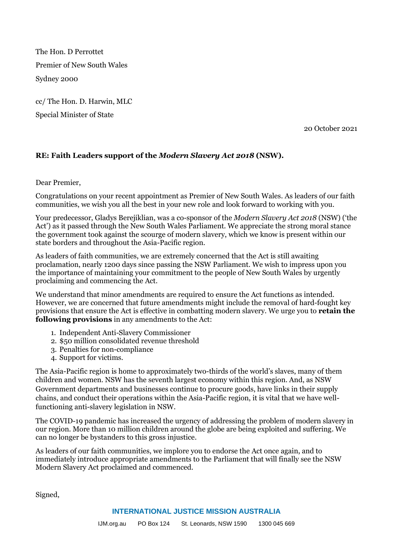The Hon. D Perrottet Premier of New South Wales Sydney 2000

cc/ The Hon. D. Harwin, MLC Special Minister of State

20 October 2021

#### **RE: Faith Leaders support of the** *Modern Slavery Act 2018* **(NSW).**

Dear Premier,

Congratulations on your recent appointment as Premier of New South Wales. As leaders of our faith communities, we wish you all the best in your new role and look forward to working with you.

Your predecessor, Gladys Berejiklian, was a co-sponsor of the *Modern Slavery Act 2018* (NSW) ('the Act') as it passed through the New South Wales Parliament. We appreciate the strong moral stance the government took against the scourge of modern slavery, which we know is present within our state borders and throughout the Asia-Pacific region.

As leaders of faith communities, we are extremely concerned that the Act is still awaiting proclamation, nearly 1200 days since passing the NSW Parliament. We wish to impress upon you the importance of maintaining your commitment to the people of New South Wales by urgently proclaiming and commencing the Act.

We understand that minor amendments are required to ensure the Act functions as intended. However, we are concerned that future amendments might include the removal of hard-fought key provisions that ensure the Act is effective in combatting modern slavery. We urge you to **retain the following provisions** in any amendments to the Act:

- 1. Independent Anti-Slavery Commissioner
- 2. \$50 million consolidated revenue threshold
- 3. Penalties for non-compliance
- 4. Support for victims.

The Asia-Pacific region is home to approximately two-thirds of the world's slaves, many of them children and women. NSW has the seventh largest economy within this region. And, as NSW Government departments and businesses continue to procure goods, have links in their supply chains, and conduct their operations within the Asia-Pacific region, it is vital that we have wellfunctioning anti-slavery legislation in NSW.

The COVID-19 pandemic has increased the urgency of addressing the problem of modern slavery in our region. More than 10 million children around the globe are being exploited and suffering. We can no longer be bystanders to this gross injustice.

As leaders of our faith communities, we implore you to endorse the Act once again, and to immediately introduce appropriate amendments to the Parliament that will finally see the NSW Modern Slavery Act proclaimed and commenced.

Signed,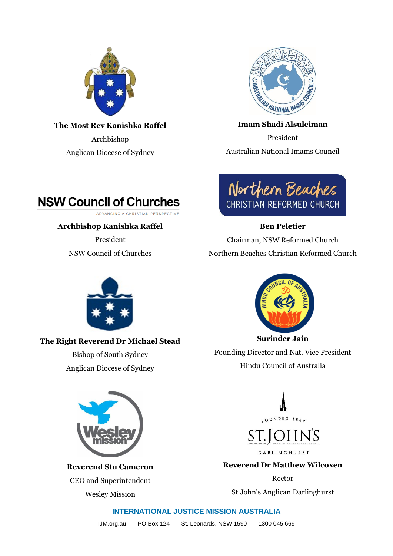

**The Most Rev Kanishka Raffel**

Archbishop

Anglican Diocese of Sydney



President Australian National Imams Council

# **NSW Council of Churches**

**ADVANCING A CHRISTIAN PERSPECTIVE** 

### **Archbishop Kanishka Raffel**

President NSW Council of Churches

#### **The Right Reverend Dr Michael Stead**

Bishop of South Sydney Anglican Diocese of Sydney



**Reverend Stu Cameron** CEO and Superintendent Wesley Mission



**Ben Peletier** Chairman, NSW Reformed Church Northern Beaches Christian Reformed Church



Founding Director and Nat. Vice President Hindu Council of Australia



**DARLINGHURST** 

**Reverend Dr Matthew Wilcoxen**

Rector St John's Anglican Darlinghurst

### **INTERNATIONAL JUSTICE MISSION AUSTRALIA**

[IJM.org.](http://ijm.org/)au PO Box 124 St. Leonards, NSW 1590 1300 045 669